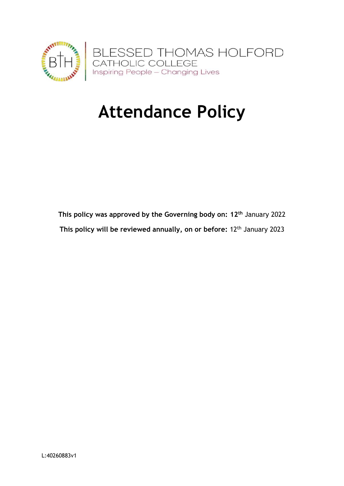

# **Attendance Policy**

**This policy was approved by the Governing body on: 12th** January 2022 **This policy will be reviewed annually, on or before:** 12th January 2023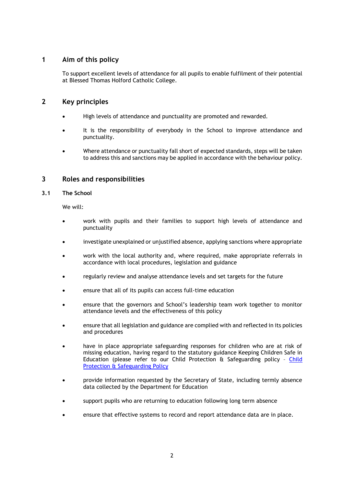# **1 Aim of this policy**

To support excellent levels of attendance for all pupils to enable fulfilment of their potential at Blessed Thomas Holford Catholic College.

## **2 Key principles**

- High levels of attendance and punctuality are promoted and rewarded.
- It is the responsibility of everybody in the School to improve attendance and punctuality.
- Where attendance or punctuality fall short of expected standards, steps will be taken to address this and sanctions may be applied in accordance with the behaviour policy.

## **3 Roles and responsibilities**

## **3.1 The School**

We will:

- work with pupils and their families to support high levels of attendance and punctuality
- investigate unexplained or unjustified absence, applying sanctions where appropriate
- work with the local authority and, where required, make appropriate referrals in accordance with local procedures, legislation and guidance
- regularly review and analyse attendance levels and set targets for the future
- ensure that all of its pupils can access full-time education
- ensure that the governors and School's leadership team work together to monitor attendance levels and the effectiveness of this policy
- ensure that all legislation and guidance are complied with and reflected in its policies and procedures
- have in place appropriate safeguarding responses for children who are at risk of missing education, having regard to the statutory guidance Keeping Children Safe in Education (please refer to our Child Protection & Safeguarding policy – [Child](https://www.bthcc.org.uk/_site/data/files/016B86E839DD91CB7215945B39AB9F98.pdf)  [Protection & Safeguarding Policy](https://www.bthcc.org.uk/_site/data/files/016B86E839DD91CB7215945B39AB9F98.pdf)
- provide information requested by the Secretary of State, including termly absence data collected by the Department for Education
- support pupils who are returning to education following long term absence
- ensure that effective systems to record and report attendance data are in place.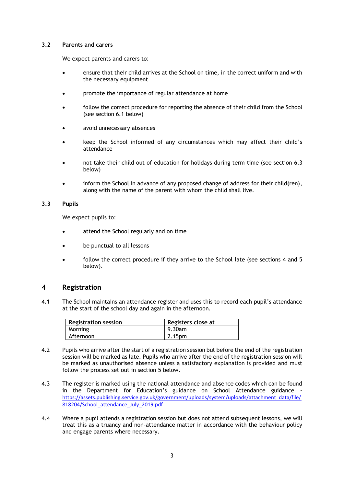#### **3.2 Parents and carers**

We expect parents and carers to:

- ensure that their child arrives at the School on time, in the correct uniform and with the necessary equipment
- promote the importance of regular attendance at home
- follow the correct procedure for reporting the absence of their child from the School (see section 6.1 below)
- avoid unnecessary absences
- keep the School informed of any circumstances which may affect their child's attendance
- not take their child out of education for holidays during term time (see section 6.3 below)
- inform the School in advance of any proposed change of address for their child(ren), along with the name of the parent with whom the child shall live.

### **3.3 Pupils**

We expect pupils to:

- attend the School regularly and on time
- be punctual to all lessons
- follow the correct procedure if they arrive to the School late (see sections 4 and 5 below).

## **4 Registration**

4.1 The School maintains an attendance register and uses this to record each pupil's attendance at the start of the school day and again in the afternoon.

| <b>Registration session</b> | Registers close at |
|-----------------------------|--------------------|
| Morning                     | 9.30am             |
| Afternoon                   | 2.15 <sub>pm</sub> |

- 4.2 Pupils who arrive after the start of a registration session but before the end of the registration session will be marked as late. Pupils who arrive after the end of the registration session will be marked as unauthorised absence unless a satisfactory explanation is provided and must follow the process set out in section 5 below.
- 4.3 The register is marked using the national attendance and absence codes which can be found in the Department for Education's guidance on School Attendance guidance [https://assets.publishing.service.gov.uk/government/uploads/system/uploads/attachment\\_data/file/](https://assets.publishing.service.gov.uk/government/uploads/system/uploads/attachment_data/file/818204/School_attendance_July_2019.pdf) [818204/School\\_attendance\\_July\\_2019.pdf](https://assets.publishing.service.gov.uk/government/uploads/system/uploads/attachment_data/file/818204/School_attendance_July_2019.pdf)
- 4.4 Where a pupil attends a registration session but does not attend subsequent lessons, we will treat this as a truancy and non-attendance matter in accordance with the behaviour policy and engage parents where necessary.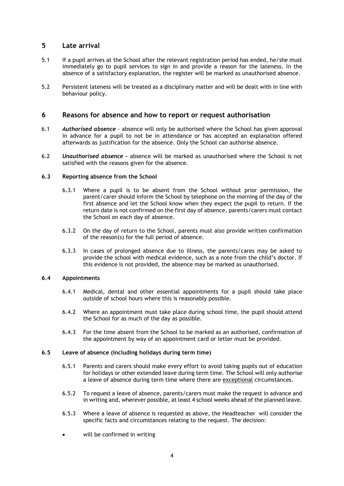## **5 Late arrival**

- 5.1 If a pupil arrives at the School after the relevant registration period has ended, he/she must immediately go to pupil services to sign in and provide a reason for the lateness. In the absence of a satisfactory explanation, the register will be marked as unauthorised absence.
- 5.2 Persistent lateness will be treated as a disciplinary matter and will be dealt with in line with behaviour policy.

## **6 Reasons for absence and how to report or request authorisation**

- 6.1 *Authorised absence* absence will only be authorised where the School has given approval in advance for a pupil to not be in attendance or has accepted an explanation offered afterwards as justification for the absence. Only the School can authorise absence.
- 6.2 *Unauthorised absence –* absence will be marked as unauthorised where the School is not satisfied with the reasons given for the absence.

### **6.3 Reporting absence from the School**

- 6.3.1 Where a pupil is to be absent from the School without prior permission, the parent/carer should inform the School by telephone on the morning of the day of the first absence and let the School know when they expect the pupil to return. If the return date is not confirmed on the first day of absence, parents/carers must contact the School on each day of absence.
- 6.3.2 On the day of return to the School, parents must also provide written confirmation of the reason(s) for the full period of absence.
- 6.3.3 In cases of prolonged absence due to illness, the parents/cares may be asked to provide the school with medical evidence, such as a note from the child's doctor. If this evidence is not provided, the absence may be marked as unauthorised.

### **6.4 Appointments**

- 6.4.1 Medical, dental and other essential appointments for a pupil should take place outside of school hours where this is reasonably possible.
- 6.4.2 Where an appointment must take place during school time, the pupil should attend the School for as much of the day as possible.
- 6.4.3 For the time absent from the School to be marked as an authorised, confirmation of the appointment by way of an appointment card or letter must be provided.

### **6.5 Leave of absence (including holidays during term time)**

- 6.5.1 Parents and carers should make every effort to avoid taking pupils out of education for holidays or other extended leave during term time. The School will only authorise a leave of absence during term time where there are exceptional circumstances.
- 6.5.2 To request a leave of absence, parents/carers must make the request in advance and in writing and, wherever possible, at least 4 school weeks ahead of the planned leave.
- 6.5.3 Where a leave of absence is requested as above, the Headteacher will consider the specific facts and circumstances relating to the request. The decision:
- will be confirmed in writing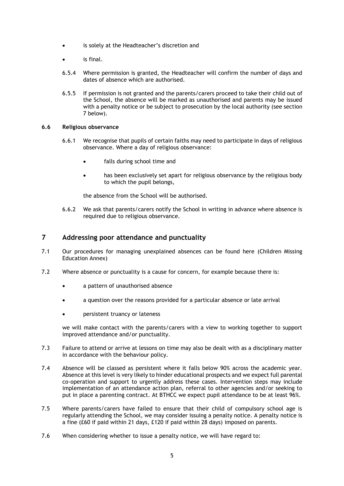- is solely at the Headteacher's discretion and
- is final.
- 6.5.4 Where permission is granted, the Headteacher will confirm the number of days and dates of absence which are authorised.
- 6.5.5 If permission is not granted and the parents/carers proceed to take their child out of the School, the absence will be marked as unauthorised and parents may be issued with a penalty notice or be subject to prosecution by the local authority (see section 7 below).

#### **6.6 Religious observance**

- 6.6.1 We recognise that pupils of certain faiths may need to participate in days of religious observance. Where a day of religious observance:
	- falls during school time and
	- has been exclusively set apart for religious observance by the religious body to which the pupil belongs,

the absence from the School will be authorised.

6.6.2 We ask that parents/carers notify the School in writing in advance where absence is required due to religious observance.

## **7 Addressing poor attendance and punctuality**

- 7.1 Our procedures for managing unexplained absences can be found here (Children Missing Education Annex)
- 7.2 Where absence or punctuality is a cause for concern, for example because there is:
	- a pattern of unauthorised absence
	- a question over the reasons provided for a particular absence or late arrival
	- persistent truancy or lateness

we will make contact with the parents/carers with a view to working together to support improved attendance and/or punctuality.

- 7.3 Failure to attend or arrive at lessons on time may also be dealt with as a disciplinary matter in accordance with the behaviour policy.
- 7.4 Absence will be classed as persistent where it falls below 90% across the academic year. Absence at this level is very likely to hinder educational prospects and we expect full parental co-operation and support to urgently address these cases. Intervention steps may include implementation of an attendance action plan, referral to other agencies and/or seeking to put in place a parenting contract. At BTHCC we expect pupil attendance to be at least 96%.
- 7.5 Where parents/carers have failed to ensure that their child of compulsory school age is regularly attending the School, we may consider issuing a penalty notice. A penalty notice is a fine (£60 if paid within 21 days, £120 if paid within 28 days) imposed on parents.
- 7.6 When considering whether to issue a penalty notice, we will have regard to: